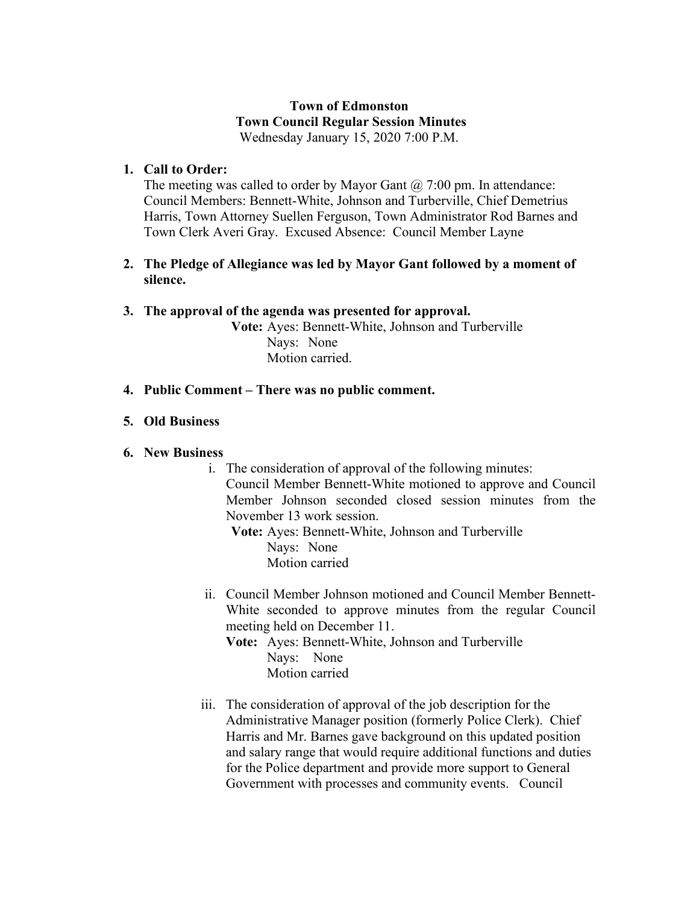### **Town of Edmonston Town Council Regular Session Minutes** Wednesday January 15, 2020 7:00 P.M.

### **1. Call to Order:**

The meeting was called to order by Mayor Gant  $\omega$  7:00 pm. In attendance: Council Members: Bennett-White, Johnson and Turberville, Chief Demetrius Harris, Town Attorney Suellen Ferguson, Town Administrator Rod Barnes and Town Clerk Averi Gray. Excused Absence: Council Member Layne

### **2. The Pledge of Allegiance was led by Mayor Gant followed by a moment of silence.**

### **3. The approval of the agenda was presented for approval.**

**Vote:** Ayes: Bennett-White, Johnson and Turberville Nays: None Motion carried.

### **4. Public Comment – There was no public comment.**

### **5. Old Business**

#### **6. New Business**

i. The consideration of approval of the following minutes: Council Member Bennett-White motioned to approve and Council Member Johnson seconded closed session minutes from the November 13 work session.

**Vote:** Ayes: Bennett-White, Johnson and Turberville Nays: None Motion carried

- ii. Council Member Johnson motioned and Council Member Bennett-White seconded to approve minutes from the regular Council meeting held on December 11.
	- **Vote:** Ayes: Bennett-White, Johnson and Turberville Nays: None Motion carried
- iii. The consideration of approval of the job description for the Administrative Manager position (formerly Police Clerk). Chief Harris and Mr. Barnes gave background on this updated position and salary range that would require additional functions and duties for the Police department and provide more support to General Government with processes and community events. Council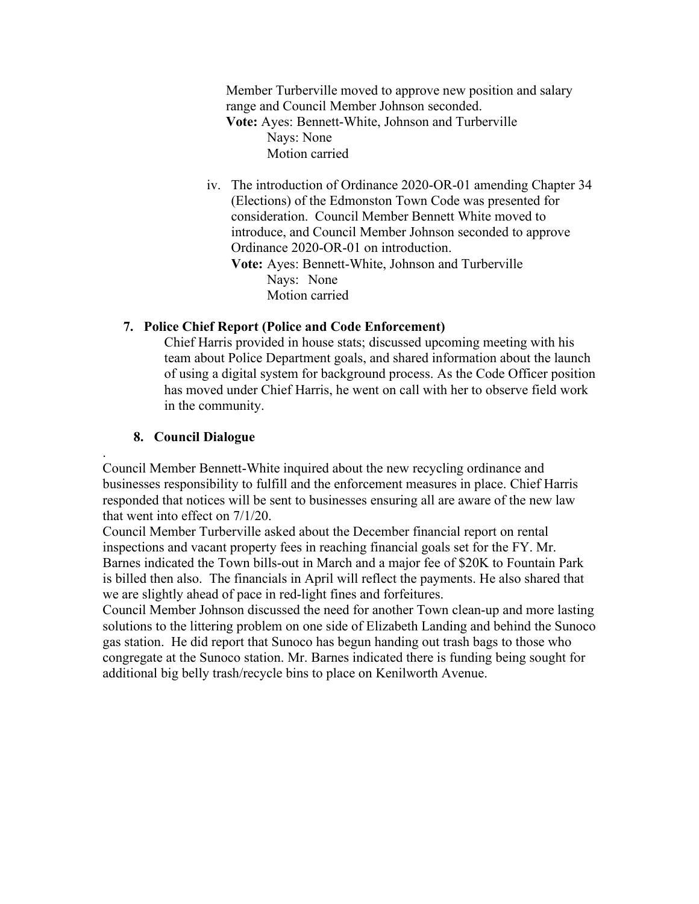Member Turberville moved to approve new position and salary range and Council Member Johnson seconded. **Vote:** Ayes: Bennett-White, Johnson and Turberville Nays: None Motion carried

iv. The introduction of Ordinance 2020-OR-01 amending Chapter 34 (Elections) of the Edmonston Town Code was presented for consideration. Council Member Bennett White moved to introduce, and Council Member Johnson seconded to approve Ordinance 2020-OR-01 on introduction. **Vote:** Ayes: Bennett-White, Johnson and Turberville Nays: None Motion carried

# **7. Police Chief Report (Police and Code Enforcement)**

Chief Harris provided in house stats; discussed upcoming meeting with his team about Police Department goals, and shared information about the launch of using a digital system for background process. As the Code Officer position has moved under Chief Harris, he went on call with her to observe field work in the community.

### **8. Council Dialogue**

. Council Member Bennett-White inquired about the new recycling ordinance and businesses responsibility to fulfill and the enforcement measures in place. Chief Harris responded that notices will be sent to businesses ensuring all are aware of the new law that went into effect on 7/1/20.

Council Member Turberville asked about the December financial report on rental inspections and vacant property fees in reaching financial goals set for the FY. Mr. Barnes indicated the Town bills-out in March and a major fee of \$20K to Fountain Park is billed then also. The financials in April will reflect the payments. He also shared that we are slightly ahead of pace in red-light fines and forfeitures.

Council Member Johnson discussed the need for another Town clean-up and more lasting solutions to the littering problem on one side of Elizabeth Landing and behind the Sunoco gas station. He did report that Sunoco has begun handing out trash bags to those who congregate at the Sunoco station. Mr. Barnes indicated there is funding being sought for additional big belly trash/recycle bins to place on Kenilworth Avenue.